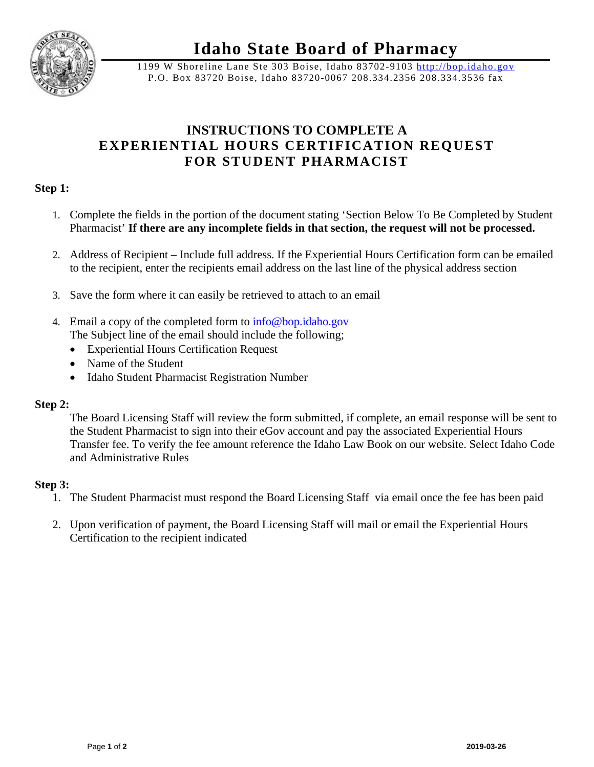

**Idaho State Board of Pharmacy** 

1199 W Shoreline Lane Ste 303 Boise, Idaho 83702-9103 http://bop.idaho.gov P.O. Box 83720 Boise, Idaho 83720-0067 208.334.2356 208.334.3536 fax

# **INSTRUCTIONS TO COMPLETE A EXPERIENTIAL HOURS CERTIFICATION REQUEST FOR STUDENT PHARMACIST**

## **Step 1:**

- 1. Complete the fields in the portion of the document stating 'Section Below To Be Completed by Student Pharmacist' **If there are any incomplete fields in that section, the request will not be processed.**
- 2. Address of Recipient Include full address. If the Experiential Hours Certification form can be emailed to the recipient, enter the recipients email address on the last line of the physical address section
- 3. Save the form where it can easily be retrieved to attach to an email
- 4. Email a copy of the completed form to info@bop.idaho.gov The Subject line of the email should include the following;
	- Experiential Hours Certification Request
	- Name of the Student
	- Idaho Student Pharmacist Registration Number

### **Step 2:**

The Board Licensing Staff will review the form submitted, if complete, an email response will be sent to the Student Pharmacist to sign into their eGov account and pay the associated Experiential Hours Transfer fee. To verify the fee amount reference the Idaho Law Book on our website. Select Idaho Code and Administrative Rules

### **Step 3:**

- 1. The Student Pharmacist must respond the Board Licensing Staff via email once the fee has been paid
- 2. Upon verification of payment, the Board Licensing Staff will mail or email the Experiential Hours Certification to the recipient indicated